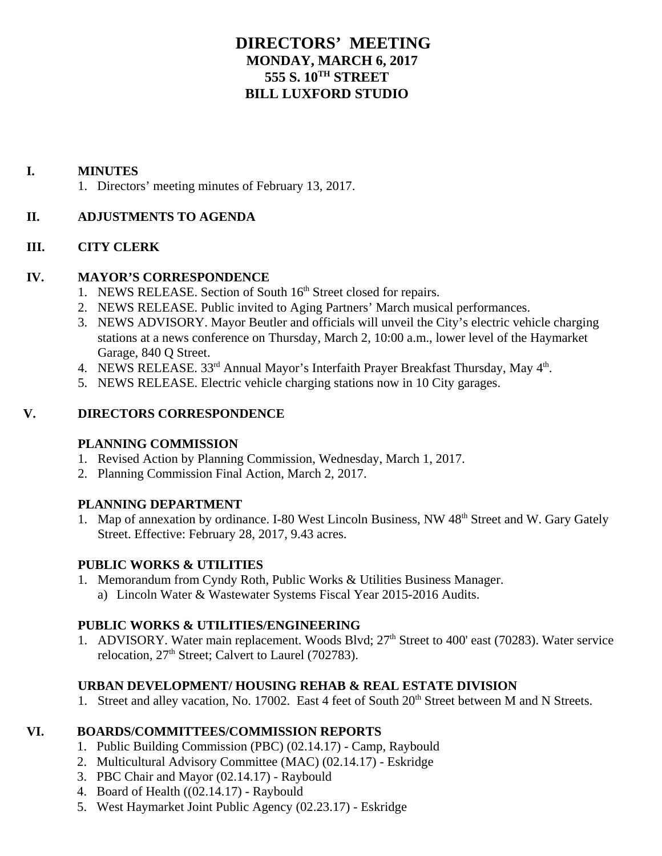# **DIRECTORS' MEETING MONDAY, MARCH 6, 2017 555 S. 10TH STREET BILL LUXFORD STUDIO**

### **I. MINUTES**

1. Directors' meeting minutes of February 13, 2017.

# **II. ADJUSTMENTS TO AGENDA**

# **III. CITY CLERK**

### **IV. MAYOR'S CORRESPONDENCE**

- 1. NEWS RELEASE. Section of South  $16<sup>th</sup>$  Street closed for repairs.
- 2. NEWS RELEASE. Public invited to Aging Partners' March musical performances.
- 3. NEWS ADVISORY. Mayor Beutler and officials will unveil the City's electric vehicle charging stations at a news conference on Thursday, March 2, 10:00 a.m., lower level of the Haymarket Garage, 840 Q Street.
- 4. NEWS RELEASE. 33rd Annual Mayor's Interfaith Prayer Breakfast Thursday, May 4th.
- 5. NEWS RELEASE. Electric vehicle charging stations now in 10 City garages.

### **V. DIRECTORS CORRESPONDENCE**

# **PLANNING COMMISSION**

- 1. Revised Action by Planning Commission, Wednesday, March 1, 2017.
- 2. Planning Commission Final Action, March 2, 2017.

### **PLANNING DEPARTMENT**

1. Map of annexation by ordinance. I-80 West Lincoln Business, NW 48<sup>th</sup> Street and W. Gary Gately Street. Effective: February 28, 2017, 9.43 acres.

# **PUBLIC WORKS & UTILITIES**

1. Memorandum from Cyndy Roth, Public Works & Utilities Business Manager. a) Lincoln Water & Wastewater Systems Fiscal Year 2015-2016 Audits.

### **PUBLIC WORKS & UTILITIES/ENGINEERING**

1. ADVISORY. Water main replacement. Woods Blvd;  $27<sup>th</sup>$  Street to 400' east (70283). Water service relocation,  $27<sup>th</sup>$  Street; Calvert to Laurel (702783).

# **URBAN DEVELOPMENT/ HOUSING REHAB & REAL ESTATE DIVISION**

1. Street and alley vacation, No. 17002. East 4 feet of South 20<sup>th</sup> Street between M and N Streets.

# **VI. BOARDS/COMMITTEES/COMMISSION REPORTS**

- 1. Public Building Commission (PBC) (02.14.17) Camp, Raybould
- 2. Multicultural Advisory Committee (MAC) (02.14.17) Eskridge
- 3. PBC Chair and Mayor (02.14.17) Raybould
- 4. Board of Health ((02.14.17) Raybould
- 5. West Haymarket Joint Public Agency (02.23.17) Eskridge